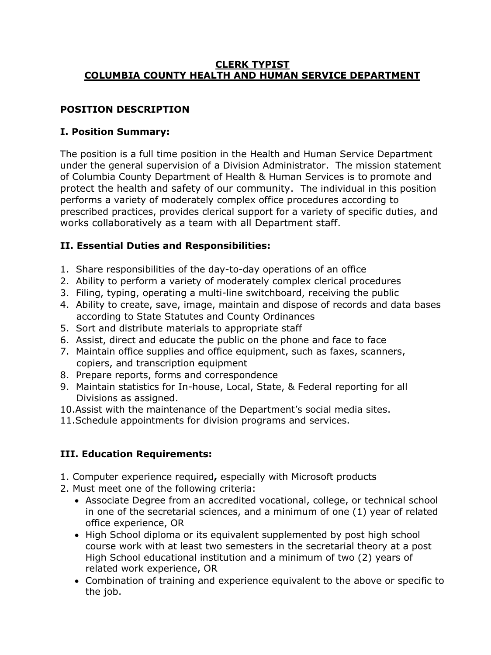#### **CLERK TYPIST COLUMBIA COUNTY HEALTH AND HUMAN SERVICE DEPARTMENT**

## **POSITION DESCRIPTION**

### **I. Position Summary:**

The position is a full time position in the Health and Human Service Department under the general supervision of a Division Administrator. The mission statement of Columbia County Department of Health & Human Services is to promote and protect the health and safety of our community. The individual in this position performs a variety of moderately complex office procedures according to prescribed practices, provides clerical support for a variety of specific duties, and works collaboratively as a team with all Department staff.

### **II. Essential Duties and Responsibilities:**

- 1. Share responsibilities of the day-to-day operations of an office
- 2. Ability to perform a variety of moderately complex clerical procedures
- 3. Filing, typing, operating a multi-line switchboard, receiving the public
- 4. Ability to create, save, image, maintain and dispose of records and data bases according to State Statutes and County Ordinances
- 5. Sort and distribute materials to appropriate staff
- 6. Assist, direct and educate the public on the phone and face to face
- 7. Maintain office supplies and office equipment, such as faxes, scanners, copiers, and transcription equipment
- 8. Prepare reports, forms and correspondence
- 9. Maintain statistics for In-house, Local, State, & Federal reporting for all Divisions as assigned.
- 10.Assist with the maintenance of the Department's social media sites.
- 11.Schedule appointments for division programs and services.

## **III. Education Requirements:**

- 1. Computer experience required**,** especially with Microsoft products
- 2. Must meet one of the following criteria:
	- Associate Degree from an accredited vocational, college, or technical school in one of the secretarial sciences, and a minimum of one (1) year of related office experience, OR
	- High School diploma or its equivalent supplemented by post high school course work with at least two semesters in the secretarial theory at a post High School educational institution and a minimum of two (2) years of related work experience, OR
	- Combination of training and experience equivalent to the above or specific to the job.